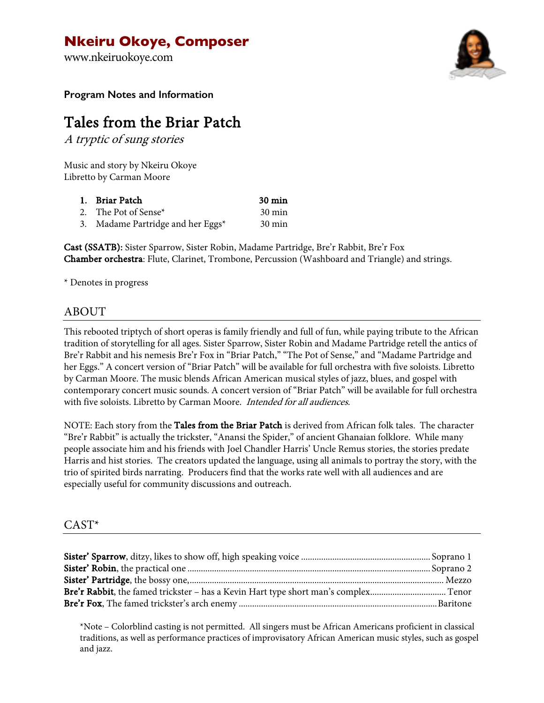## **Nkeiru Okoye, Composer**

www.nkeiruokoye.com



**Program Notes and Information**

# Tales from the Briar Patch

A tryptic of sung stories

Music and story by Nkeiru Okoye Libretto by Carman Moore

| 1. Briar Patch                       | $30 \text{ min}$ |
|--------------------------------------|------------------|
| 2. The Pot of Sense*                 | $30 \text{ min}$ |
| 3. Madame Partridge and her Eggs $*$ | $30 \text{ min}$ |

Cast (SSATB): Sister Sparrow, Sister Robin, Madame Partridge, Bre'r Rabbit, Bre'r Fox Chamber orchestra: Flute, Clarinet, Trombone, Percussion (Washboard and Triangle) and strings.

\* Denotes in progress

## ABOUT

This rebooted triptych of short operas is family friendly and full of fun, while paying tribute to the African tradition of storytelling for all ages. Sister Sparrow, Sister Robin and Madame Partridge retell the antics of Bre'r Rabbit and his nemesis Bre'r Fox in "Briar Patch," "The Pot of Sense," and "Madame Partridge and her Eggs." A concert version of "Briar Patch" will be available for full orchestra with five soloists. Libretto by Carman Moore. The music blends African American musical styles of jazz, blues, and gospel with contemporary concert music sounds. A concert version of "Briar Patch" will be available for full orchestra with five soloists. Libretto by Carman Moore. Intended for all audiences.

NOTE: Each story from the Tales from the Briar Patch is derived from African folk tales. The character "Bre'r Rabbit" is actually the trickster, "Anansi the Spider," of ancient Ghanaian folklore. While many people associate him and his friends with Joel Chandler Harris' Uncle Remus stories, the stories predate Harris and hist stories. The creators updated the language, using all animals to portray the story, with the trio of spirited birds narrating. Producers find that the works rate well with all audiences and are especially useful for community discussions and outreach.

#### CAST\*

\*Note – Colorblind casting is not permitted. All singers must be African Americans proficient in classical traditions, as well as performance practices of improvisatory African American music styles, such as gospel and jazz.